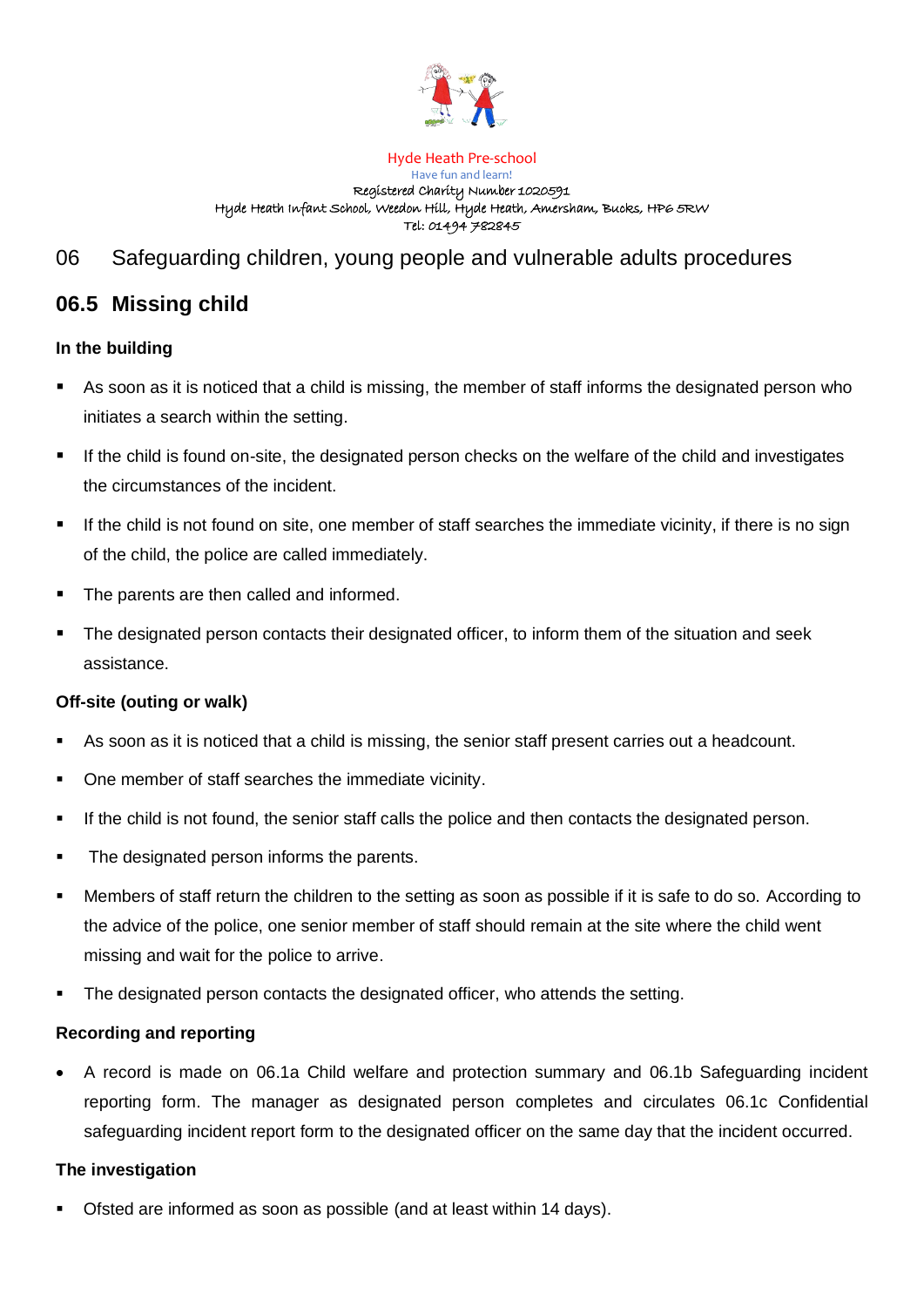

#### Hyde Heath Pre-school Have fun and learn! Registered Charity Number 1020591 Hyde Heath Infant School, Weedon Hill, Hyde Heath, Amersham, Bucks, HP6 5RW Tel: 01494 782845

# 06 Safeguarding children, young people and vulnerable adults procedures

## **06.5 Missing child**

### **In the building**

- As soon as it is noticed that a child is missing, the member of staff informs the designated person who initiates a search within the setting.
- If the child is found on-site, the designated person checks on the welfare of the child and investigates the circumstances of the incident.
- If the child is not found on site, one member of staff searches the immediate vicinity, if there is no sign of the child, the police are called immediately.
- The parents are then called and informed.
- The designated person contacts their designated officer, to inform them of the situation and seek assistance.

### **Off-site (outing or walk)**

- As soon as it is noticed that a child is missing, the senior staff present carries out a headcount.
- One member of staff searches the immediate vicinity.
- **■** If the child is not found, the senior staff calls the police and then contacts the designated person.
- The designated person informs the parents.
- Members of staff return the children to the setting as soon as possible if it is safe to do so. According to the advice of the police, one senior member of staff should remain at the site where the child went missing and wait for the police to arrive.
- The designated person contacts the designated officer, who attends the setting.

### **Recording and reporting**

• A record is made on 06.1a Child welfare and protection summary and 06.1b Safeguarding incident reporting form. The manager as designated person completes and circulates 06.1c Confidential safeguarding incident report form to the designated officer on the same day that the incident occurred.

### **The investigation**

Ofsted are informed as soon as possible (and at least within 14 days).